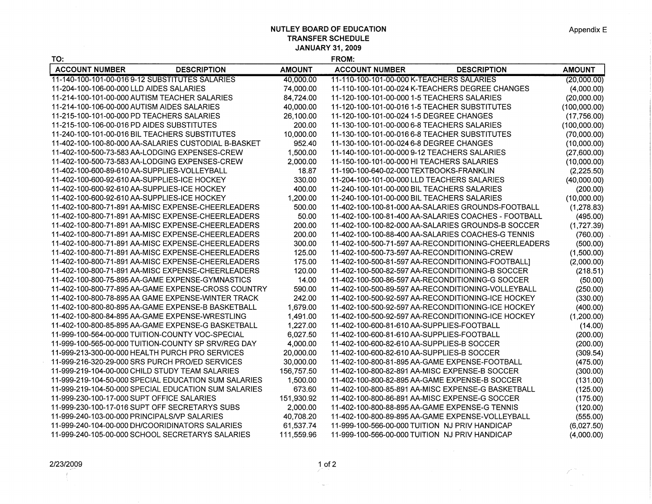## **NUTLEY BOARD OF EDUCATION TRANSFER SCHEDULE JANUARY 31, 2009**

 $Z^{\pi}$  .

| TO:                                              |                                                      |               | <b>FROM:</b>                                   |                                                      |               |
|--------------------------------------------------|------------------------------------------------------|---------------|------------------------------------------------|------------------------------------------------------|---------------|
| <b>ACCOUNT NUMBER</b>                            | <b>DESCRIPTION</b>                                   | <b>AMOUNT</b> | <b>ACCOUNT NUMBER</b>                          | <b>DESCRIPTION</b>                                   | <b>AMOUNT</b> |
| 11-140-100-101-00-016 9-12 SUBSTITUTES SALARIES  |                                                      | 40,000.00     | 11-110-100-101-00-000 K-TEACHERS SALARIES      |                                                      | (20,000.00)   |
| 11-204-100-106-00-000 LLD AIDES SALARIES         |                                                      | 74,000.00     |                                                | 11-110-100-101-00-024 K-TEACHERS DEGREE CHANGES      | (4,000.00)    |
| 11-214-100-101-00-000 AUTISM TEACHER SALARIES    |                                                      | 84,724.00     | 11-120-100-101-00-000 1-5 TEACHERS SALARIES    |                                                      | (20,000.00)   |
| 11-214-100-106-00-000 AUTISM AIDES SALARIES      |                                                      | 40,000.00     | 11-120-100-101-00-016 1-5 TEACHER SUBSTITUTES  |                                                      | (100,000.00)  |
| 11-215-100-101-00-000 PD TEACHERS SALARIES       |                                                      | 26,100.00     | 11-120-100-101-00-024 1-5 DEGREE CHANGES       |                                                      | (17,756.00)   |
| 11-215-100-106-00-016 PD AIDES SUBSTITUTES       |                                                      | 200.00        | 11-130-100-101-00-000 6-8 TEACHERS SALARIES    |                                                      | (100,000.00)  |
| 11-240-100-101-00-016 BIL TEACHERS SUBSTITUTES   |                                                      | 10,000.00     | 11-130-100-101-00-016 6-8 TEACHER SUBSTITUTES  |                                                      | (70,000.00)   |
|                                                  | 11-402-100-100-80-000 AA-SALARIES CUSTODIAL B-BASKET | 952.40        | 11-130-100-101-00-024 6-8 DEGREE CHANGES       |                                                      | (10,000.00)   |
| 11-402-100-500-73-583 AA-LODGING EXPENSES-CREW   |                                                      | 1,500.00      | 11-140-100-101-00-000 9-12 TEACHERS SALARIES   |                                                      | (27,600.00)   |
| 11-402-100-500-73-583 AA-LODGING EXPENSES-CREW   |                                                      | 2,000.00      | 11-150-100-101-00-000 HI TEACHERS SALARIES     |                                                      | (10,000.00)   |
| 11-402-100-600-89-610 AA-SUPPLIES-VOLLEYBALL     |                                                      | 18.87         | 11-190-100-640-02-000 TEXTBOOKS-FRANKLIN       |                                                      | (2,225.50)    |
| 11-402-100-600-92-610 AA-SUPPLIES-ICE HOCKEY     |                                                      | 330.00        | 11-204-100-101-00-000 LLD TEACHERS SALARIES    |                                                      | (40,000.00)   |
| 11-402-100-600-92-610 AA-SUPPLIES-ICE HOCKEY     |                                                      | 400.00        | 11-240-100-101-00-000 BIL TEACHERS SALARIES    |                                                      | (200.00)      |
| 11-402-100-600-92-610 AA-SUPPLIES-ICE HOCKEY     |                                                      | 1,200.00      | 11-240-100-101-00-000 BIL TEACHERS SALARIES    |                                                      | (10,000.00)   |
|                                                  | 11-402-100-800-71-891 AA-MISC EXPENSE-CHEERLEADERS   | 500.00        |                                                | 11-402-100-100-81-000 AA-SALARIES GROUNDS-FOOTBALL   | (1, 278.83)   |
|                                                  | 11-402-100-800-71-891 AA-MISC EXPENSE-CHEERLEADERS   | 50.00         |                                                | 11-402-100-100-81-400 AA-SALARIES COACHES - FOOTBALL | (495.00)      |
|                                                  | 11-402-100-800-71-891 AA-MISC EXPENSE-CHEERLEADERS   | 200.00        |                                                | 11-402-100-100-82-000 AA-SALARIES GROUNDS-B SOCCER   | (1,727.39)    |
|                                                  | 11-402-100-800-71-891 AA-MISC EXPENSE-CHEERLEADERS   | 200.00        |                                                | 11-402-100-100-88-400 AA-SALARIES COACHES-G TENNIS   | (760.00)      |
|                                                  | 11-402-100-800-71-891 AA-MISC EXPENSE-CHEERLEADERS   | 300.00        |                                                | 11-402-100-500-71-597 AA-RECONDITIONING-CHEERLEADERS | (500.00)      |
|                                                  | 11-402-100-800-71-891 AA-MISC EXPENSE-CHEERLEADERS   | 125.00        | 11-402-100-500-73-597 AA-RECONDITIONING-CREW   |                                                      | (1,500.00)    |
|                                                  | 11-402-100-800-71-891 AA-MISC EXPENSE-CHEERLEADERS   | 175.00        |                                                | 11-402-100-500-81-597 AA-RECONDITIONING-FOOTBALLI    | (2,000.00)    |
|                                                  | 11-402-100-800-71-891 AA-MISC EXPENSE-CHEERLEADERS   | 120.00        |                                                | 11-402-100-500-82-597 AA-RECONDITIONING-B SOCCER     | (218.51)      |
| 11-402-100-800-75-895 AA-GAME EXPENSE-GYMNASTICS |                                                      | 14.00         |                                                | 11-402-100-500-86-597 AA-RECONDITIONING-G SOCCER     | (50.00)       |
|                                                  | 11-402-100-800-77-895 AA-GAME EXPENSE-CROSS COUNTRY  | 590.00        |                                                | 11-402-100-500-89-597 AA-RECONDITIONING-VOLLEYBALL   | (250.00)      |
|                                                  | 11-402-100-800-78-895 AA GAME EXPENSE-WINTER TRACK   | 242.00        |                                                | 11-402-100-500-92-597 AA-RECONDITIONING-ICE HOCKEY   | (330.00)      |
|                                                  |                                                      | 1,679.00      |                                                | 11-402-100-500-92-597 AA-RECONDITIONING-ICE HOCKEY   | (400.00)      |
| 11-402-100-800-84-895 AA-GAME EXPENSE-WRESTLING  |                                                      | 1,491.00      |                                                | 11-402-100-500-92-597 AA-RECONDITIONING-ICE HOCKEY   | (1,200.00)    |
|                                                  | 11-402-100-800-85-895 AA-GAME EXPENSE-G BASKETBALL   | 1,227.00      | 11-402-100-600-81-610 AA-SUPPLIES-FOOTBALL     |                                                      | (14.00)       |
| 11-999-100-564-00-000 TUITION-COUNTY VOC-SPECIAL |                                                      | 6,027.50      | 11-402-100-600-81-610 AA-SUPPLIES-FOOTBALL     |                                                      | (200.00)      |
|                                                  | 11-999-100-565-00-000 TUITION-COUNTY SP SRV/REG DAY  | 4,000.00      | 11-402-100-600-82-610 AA-SUPPLIES-B SOCCER     |                                                      | (200.00)      |
| 11-999-213-300-00-000 HEALTH PURCH PRO SERVICES  |                                                      | 20,000.00     | 11-402-100-600-82-610 AA-SUPPLIES-B SOCCER     |                                                      | (309.54)      |
| 11-999-216-320-29-000 SRS PURCH PRO/ED SERVICES  |                                                      | 30,000.00     |                                                | 11-402-100-800-81-895 AA-GAME EXPENSE-FOOTBALL       | (475.00)      |
| 11-999-219-104-00-000 CHILD STUDY TEAM SALARIES  |                                                      | 156,757.50    |                                                | 11-402-100-800-82-891 AA-MISC EXPENSE-B SOCCER       | (300.00)      |
|                                                  | 11-999-219-104-50-000 SPECIAL EDUCATION SUM SALARIES | 1,500.00      |                                                | 11-402-100-800-82-895 AA-GAME EXPENSE-B SOCCER       | (131.00)      |
|                                                  | 11-999-219-104-50-000 SPECIAL EDUCATION SUM SALARIES | 673.60        |                                                | 11-402-100-800-85-891 AA-MISC EXPENSE-G BASKETBALL   | (125.00)      |
| 11-999-230-100-17-000 SUPT OFFICE SALARIES       |                                                      | 151,930.92    |                                                | 11-402-100-800-86-891 AA-MISC EXPENSE-G SOCCER       | (175.00)      |
| 11-999-230-100-17-016 SUPT OFF SECRETARYS SUBS   |                                                      | 2,000.00      |                                                | 11-402-100-800-88-895 AA-GAME EXPENSE-G TENNIS       | (120.00)      |
| 11-999-240-103-00-000 PRINCIPALS/VP SALARIES     |                                                      | 40,708.20     |                                                | 11-402-100-800-89-895 AA-GAME EXPENSE-VOLLEYBALL     | (555.00)      |
| 11-999-240-104-00-000 DH/COORIDINATORS SALARIES  |                                                      | 61,537.74     | 11-999-100-566-00-000 TUITION NJ PRIV HANDICAP |                                                      | (6,027.50)    |
| 11-999-240-105-00-000 SCHOOL SECRETARYS SALARIES |                                                      | 111,559.96    | 11-999-100-566-00-000 TUITION NJ PRIV HANDICAP |                                                      | (4,000.00)    |

 $\sim$